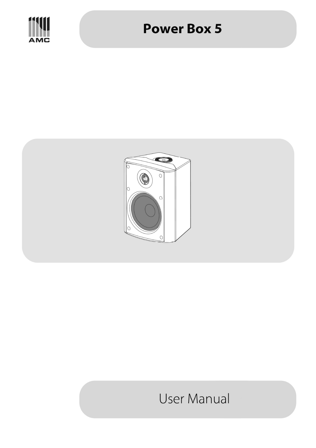

# **Power Box 5**



# **User Manual**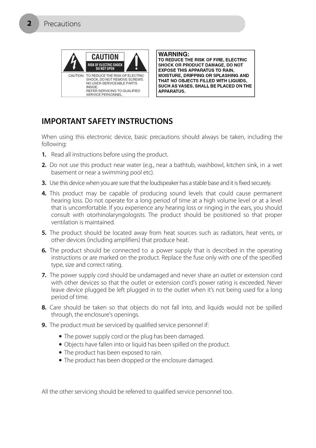

**WARNING:** TO REDUCE THE RISK OF FIRE, ELECTRIC SHOCK OR PRODUCT DAMAGE, DO NOT **EXPOSE THIS APPARATUS TO RAIN,** MOISTURE, DRIPPING OR SPLASHING AND THAT NO OBJECTS FILLED WITH LIQUIDS, SUCH AS VASES, SHALL BE PLACED ON THE **APPARATUS.** 

## **IMPORTANT SAFETY INSTRUCTIONS**

When using this electronic device, basic precautions should always be taken, including the following:

- **1.** Read all instructions before using the product.
- **2.** Do not use this product near water (e.g., near a bathtub, washbowl, kitchen sink, in a wet basement or near a swimming pool etc).
- **3.** Use this device when you are sure that the loudspeaker has a stable base and it is fixed securely.
- **4.** This product may be capable of producing sound levels that could cause permanent hearing loss. Do not operate for a long period of time at a high volume level or at a level that is uncomfortable. If you experience any hearing loss or ringing in the ears, you should consult with otorhinolaryngologists. The product should be positioned so that proper ventilation is maintained.
- **5.** The product should be located away from heat sources such as radiators, heat vents, or other devices (including amplifiers) that produce heat.
- **6.** The product should be connected to a power supply that is described in the operating instructions or are marked on the product. Replace the fuse only with one of the specified type, size and correct rating.
- **7.** The power supply cord should be undamaged and never share an outlet or extension cord with other devices so that the outlet or extension cord's power rating is exceeded. Never leave device plugged be left plugged in to the outlet when it's not being used for a long period of time.
- **8.** Care should be taken so that objects do not fall into, and liquids would not be spilled through, the enclosure's openings.
- **9.** The product must be serviced by qualified service personnel if:
	- The power supply cord or the plug has been damaged.
	- Objects have fallen into or liquid has been spilled on the product.
	- The product has been exposed to rain.
	- The product has been dropped or the enclosure damaged.

All the other servicing should be referred to qualified service personnel too.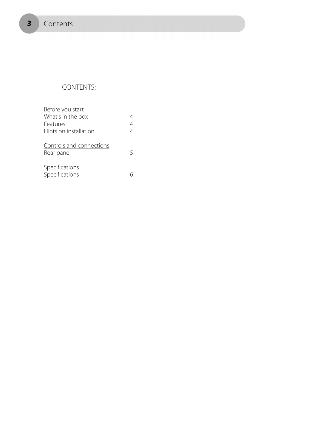$\overline{\mathbf{3}}$ 

## CONTENTS:

| Before you start                       |   |
|----------------------------------------|---|
| What's in the box                      |   |
| Features                               | 4 |
| Hints on installation                  | 4 |
| Controls and connections<br>Rear panel |   |
| Specifications<br>Specifications       |   |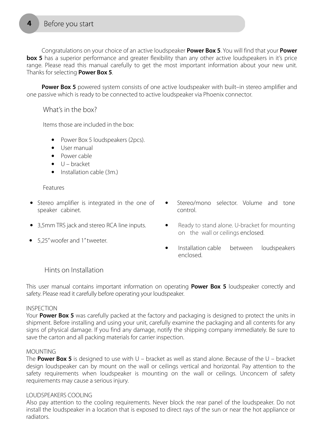Congratulations on your choice of an active loudspeaker **Power Box 5**. You will find that your **Power box 5** has a superior performance and greater flexibility than any other active loudspeakers in it's price range. Please read this manual carefully to get the most important information about your new unit. Thanks for selecting **Power Box 5**.

**Power Box 5** powered system consists of one active loudspeaker with built-in stereo amplifier and one passive which is ready to be connected to active loudspeaker via Phoenix connector.

What's in the box?

Items those are included in the box:

- Power Box 5 loudspeakers (2pcs).
- User manual
- Power cable
- $\bullet$  U bracket
- Installation cable (3m.)

#### Features

- Stereo amplifier is integrated in the one of speaker cabinet.
- 3,5mm TRS jack and stereo RCA line inputs.
- 5,25" woofer and 1" tweeter.
- Stereo/mono selector. Volume and tone control.
- Ready to stand alone. U-bracket for mounting on the wall or ceilings enclosed.
- Installation cable between loudspeakers enclosed.

### Hints on Installation

This user manual contains important information on operating **Power Box 5** loudspeaker correctly and safety. Please read it carefully before operating your loudspeaker.

#### INSPECTION

Your **Power Box 5** was carefully packed at the factory and packaging is designed to protect the units in shipment. Before installing and using your unit, carefully examine the packaging and all contents for any signs of physical damage. If you find any damage, notify the shipping company immediately. Be sure to save the carton and all packing materials for carrier inspection.

#### MOUNTING

The **Power Box 5** is designed to use with U – bracket as well as stand alone. Because of the U – bracket design loudspeaker can by mount on the wall or ceilings vertical and horizontal. Pay attention to the safety requirements when loudspeaker is mounting on the wall or ceilings. Unconcern of safety requirements may cause a serious injury.

#### LOUDSPEAKERS COOLING

Also pay attention to the cooling requirements. Never block the rear panel of the loudspeaker. Do not install the loudspeaker in a location that is exposed to direct rays of the sun or near the hot appliance or radiators.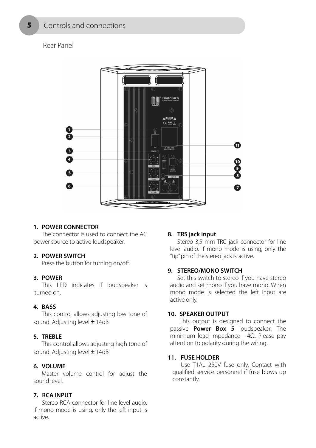### Rear Panel



#### **1. POWER CONNECTOR**

 The connector is used to connect the AC power source to active loudspeaker.

#### **2. POWER SWITCH**

Press the button for turning on/off.

#### **3. POWER**

 This LED indicates if loudspeaker is turned on.

#### **4. BASS**

 This control allows adjusting low tone of sound. Adjusting level ± 14dB

#### **5. TREBLE**

 This control allows adjusting high tone of sound. Adjusting level ± 14dB

#### **6. VOLUME**

 Master volume control for adjust the sound level.

#### **7. RCA INPUT**

 Stereo RCA connector for line level audio. If mono mode is using, only the left input is active.

#### **8. TRS jack input**

 Stereo 3,5 mm TRC jack connector for line level audio. If mono mode is using, only the "tip" pin of the stereo jack is active.

#### **9. STEREO/MONO SWITCH**

 Set this switch to stereo if you have stereo audio and set mono if you have mono. When mono mode is selected the left input are active only.

#### **10. SPEAKER OUTPUT**

 This output is designed to connect the passive **Power Box 5** loudspeaker. The minimum load impedance - 4Ω. Please pay attention to polarity during the wiring.

#### **11. FUSE HOLDER**

 Use T1AL 250V fuse only. Contact with qualified service personnel if fuse blows up constantly.

5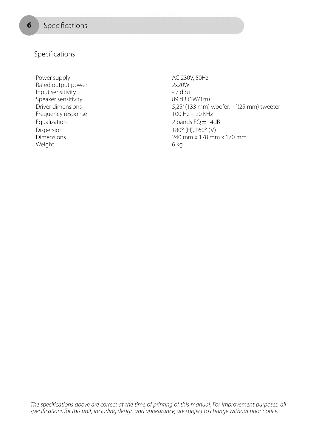6

Specifications

Power supply and the state of the AC 230V, 50Hz Rated output power 2x20W Input sensitivity and the sensitivity of the 17 dBu Speaker sensitivity 89 dB (1W/1m) Frequency response 100 Hz – 20 KHz Equalization 2 bands EQ ± 14dB Dispersion 180° (H), 160° (V) Weight 6 kg

Driver dimensions 5,25" (133 mm) woofer, 1"(25 mm) tweeter Dimensions 240 mm x 178 mm x 170 mm

The specifications above are correct at the time of printing of this manual. For improvement purposes, all specifications for this unit, including design and appearance, are subject to change without prior notice.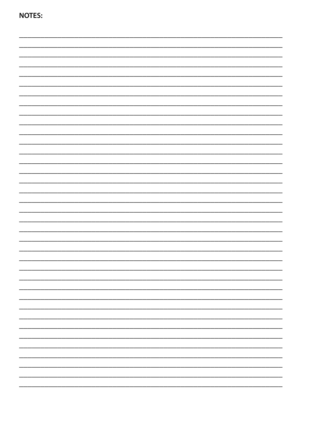**NOTES:**